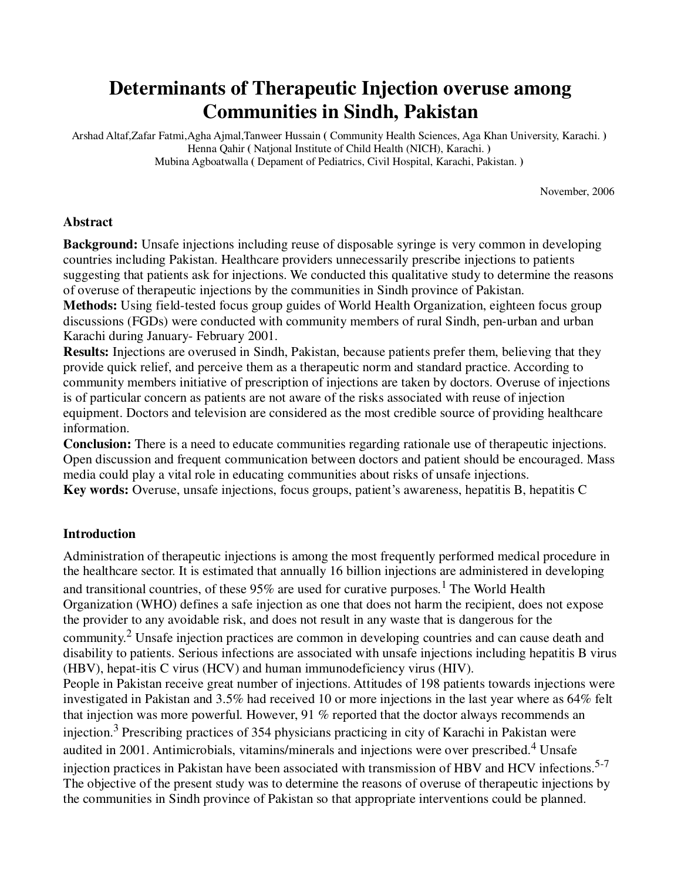# **Determinants of Therapeutic Injection overuse among Communities in Sindh, Pakistan**

Arshad Altaf,Zafar Fatmi,Agha Ajmal,Tanweer Hussain **(** Community Health Sciences, Aga Khan University, Karachi. **)**  Henna Qahir **(** Natjonal Institute of Child Health (NICH), Karachi. **)**  Mubina Agboatwalla **(** Depament of Pediatrics, Civil Hospital, Karachi, Pakistan. **)** 

November, 2006

#### **Abstract**

**Background:** Unsafe injections including reuse of disposable syringe is very common in developing countries including Pakistan. Healthcare providers unnecessarily prescribe injections to patients suggesting that patients ask for injections. We conducted this qualitative study to determine the reasons of overuse of therapeutic injections by the communities in Sindh province of Pakistan.

**Methods:** Using field-tested focus group guides of World Health Organization, eighteen focus group discussions (FGDs) were conducted with community members of rural Sindh, pen-urban and urban Karachi during January- February 2001.

**Results:** Injections are overused in Sindh, Pakistan, because patients prefer them, believing that they provide quick relief, and perceive them as a therapeutic norm and standard practice. According to community members initiative of prescription of injections are taken by doctors. Overuse of injections is of particular concern as patients are not aware of the risks associated with reuse of injection equipment. Doctors and television are considered as the most credible source of providing healthcare information.

**Conclusion:** There is a need to educate communities regarding rationale use of therapeutic injections. Open discussion and frequent communication between doctors and patient should be encouraged. Mass media could play a vital role in educating communities about risks of unsafe injections. **Key words:** Overuse, unsafe injections, focus groups, patient's awareness, hepatitis B, hepatitis C

#### **Introduction**

Administration of therapeutic injections is among the most frequently performed medical procedure in the healthcare sector. It is estimated that annually 16 billion injections are administered in developing and transitional countries, of these  $95\%$  are used for curative purposes.<sup>1</sup> The World Health Organization (WHO) defines a safe injection as one that does not harm the recipient, does not expose the provider to any avoidable risk, and does not result in any waste that is dangerous for the community.<sup>2</sup> Unsafe injection practices are common in developing countries and can cause death and disability to patients. Serious infections are associated with unsafe injections including hepatitis B virus (HBV), hepat-itis C virus (HCV) and human immunodeficiency virus (HIV). People in Pakistan receive great number of injections. Attitudes of 198 patients towards injections were investigated in Pakistan and 3.5% had received 10 or more injections in the last year where as 64% felt that injection was more powerful. However, 91 % reported that the doctor always recommends an injection.<sup>3</sup> Prescribing practices of 354 physicians practicing in city of Karachi in Pakistan were audited in 2001. Antimicrobials, vitamins/minerals and injections were over prescribed.<sup>4</sup> Unsafe injection practices in Pakistan have been associated with transmission of HBV and HCV infections.5-7 The objective of the present study was to determine the reasons of overuse of therapeutic injections by the communities in Sindh province of Pakistan so that appropriate interventions could be planned.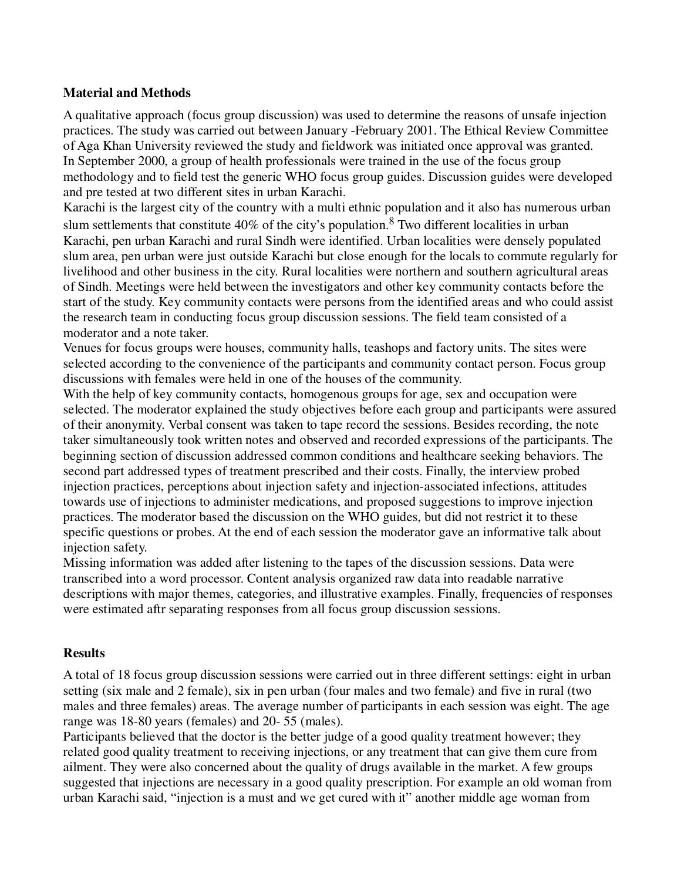### **Material and Methods**

A qualitative approach (focus group discussion) was used to determine the reasons of unsafe injection practices. The study was carried out between January -February 2001. The Ethical Review Committee of Aga Khan University reviewed the study and fieldwork was initiated once approval was granted. In September 2000, a group of health professionals were trained in the use of the focus group methodology and to field test the generic WHO focus group guides. Discussion guides were developed and pre tested at two different sites in urban Karachi.

Karachi is the largest city of the country with a multi ethnic population and it also has numerous urban slum settlements that constitute 40% of the city's population.<sup>8</sup> Two different localities in urban Karachi, pen urban Karachi and rural Sindh were identified. Urban localities were densely populated slum area, pen urban were just outside Karachi but close enough for the locals to commute regularly for livelihood and other business in the city. Rural localities were northern and southern agricultural areas of Sindh. Meetings were held between the investigators and other key community contacts before the start of the study. Key community contacts were persons from the identified areas and who could assist the research team in conducting focus group discussion sessions. The field team consisted of a moderator and a note taker.

Venues for focus groups were houses, community halls, teashops and factory units. The sites were selected according to the convenience of the participants and community contact person. Focus group discussions with females were held in one of the houses of the community.

With the help of key community contacts, homogenous groups for age, sex and occupation were selected. The moderator explained the study objectives before each group and participants were assured of their anonymity. Verbal consent was taken to tape record the sessions. Besides recording, the note taker simultaneously took written notes and observed and recorded expressions of the participants. The beginning section of discussion addressed common conditions and healthcare seeking behaviors. The second part addressed types of treatment prescribed and their costs. Finally, the interview probed injection practices, perceptions about injection safety and injection-associated infections, attitudes towards use of injections to administer medications, and proposed suggestions to improve injection practices. The moderator based the discussion on the WHO guides, but did not restrict it to these specific questions or probes. At the end of each session the moderator gave an informative talk about injection safety.

Missing information was added after listening to the tapes of the discussion sessions. Data were transcribed into a word processor. Content analysis organized raw data into readable narrative descriptions with major themes, categories, and illustrative examples. Finally, frequencies of responses were estimated aftr separating responses from all focus group discussion sessions.

#### **Results**

A total of 18 focus group discussion sessions were carried out in three different settings: eight in urban setting (six male and 2 female), six in pen urban (four males and two female) and five in rural (two males and three females) areas. The average number of participants in each session was eight. The age range was 18-80 years (females) and 20- 55 (males).

Participants believed that the doctor is the better judge of a good quality treatment however; they related good quality treatment to receiving injections, or any treatment that can give them cure from ailment. They were also concerned about the quality of drugs available in the market. A few groups suggested that injections are necessary in a good quality prescription. For example an old woman from urban Karachi said, "injection is a must and we get cured with it" another middle age woman from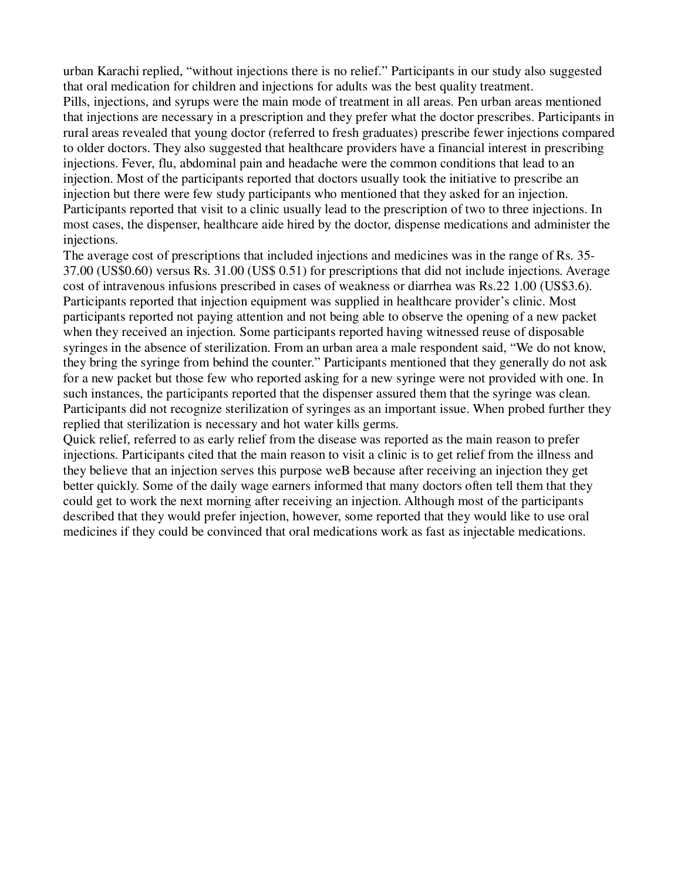urban Karachi replied, "without injections there is no relief." Participants in our study also suggested that oral medication for children and injections for adults was the best quality treatment. Pills, injections, and syrups were the main mode of treatment in all areas. Pen urban areas mentioned that injections are necessary in a prescription and they prefer what the doctor prescribes. Participants in rural areas revealed that young doctor (referred to fresh graduates) prescribe fewer injections compared to older doctors. They also suggested that healthcare providers have a financial interest in prescribing injections. Fever, flu, abdominal pain and headache were the common conditions that lead to an injection. Most of the participants reported that doctors usually took the initiative to prescribe an injection but there were few study participants who mentioned that they asked for an injection. Participants reported that visit to a clinic usually lead to the prescription of two to three injections. In most cases, the dispenser, healthcare aide hired by the doctor, dispense medications and administer the injections.

The average cost of prescriptions that included injections and medicines was in the range of Rs. 35- 37.00 (US\$0.60) versus Rs. 31.00 (US\$ 0.51) for prescriptions that did not include injections. Average cost of intravenous infusions prescribed in cases of weakness or diarrhea was Rs.22 1.00 (US\$3.6). Participants reported that injection equipment was supplied in healthcare provider's clinic. Most participants reported not paying attention and not being able to observe the opening of a new packet when they received an injection. Some participants reported having witnessed reuse of disposable syringes in the absence of sterilization. From an urban area a male respondent said, "We do not know, they bring the syringe from behind the counter." Participants mentioned that they generally do not ask for a new packet but those few who reported asking for a new syringe were not provided with one. In such instances, the participants reported that the dispenser assured them that the syringe was clean. Participants did not recognize sterilization of syringes as an important issue. When probed further they replied that sterilization is necessary and hot water kills germs.

Quick relief, referred to as early relief from the disease was reported as the main reason to prefer injections. Participants cited that the main reason to visit a clinic is to get relief from the illness and they believe that an injection serves this purpose weB because after receiving an injection they get better quickly. Some of the daily wage earners informed that many doctors often tell them that they could get to work the next morning after receiving an injection. Although most of the participants described that they would prefer injection, however, some reported that they would like to use oral medicines if they could be convinced that oral medications work as fast as injectable medications.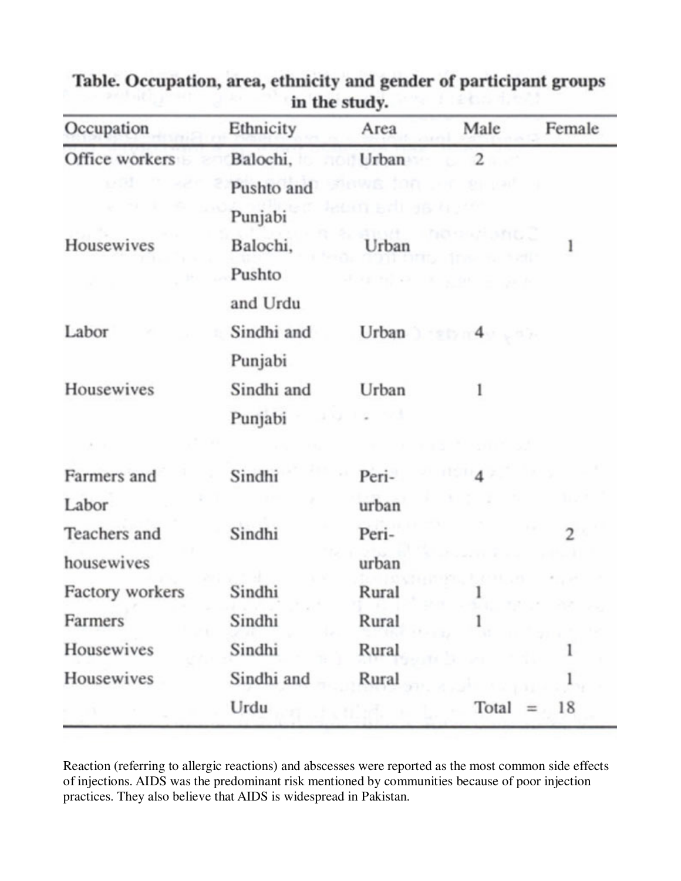| Occupation      | Ethnicity  | Area         | Male                                   | Female         |
|-----------------|------------|--------------|----------------------------------------|----------------|
| Office workers  | Balochi,   | Urban        | $\overline{c}$                         |                |
|                 | Pushto and | 1692 SOAT    |                                        |                |
|                 | Punjabi    | eten Brügger |                                        |                |
| Housewives      | Balochi,   | Urban        | work interestingly<br><b>SANT</b>      |                |
|                 | Pushto     |              | out the sea of the grand of the season |                |
|                 | and Urdu   |              |                                        |                |
| Labor           | Sindhi and |              | Urban $4 \cdot 4$                      |                |
|                 | Punjabi    |              |                                        |                |
| Housewives      | Sindhi and | Urban        | l                                      |                |
|                 | Punjabi    |              |                                        |                |
|                 |            |              |                                        |                |
| Farmers and     | Sindhi     | Peri-        |                                        |                |
| Labor           |            | urban        |                                        |                |
| Teachers and    | Sindhi     | Peri-        |                                        | $\overline{c}$ |
| housewives      |            | urban        |                                        |                |
| Factory workers | Sindhi     | Rural        |                                        |                |
| Farmers         | Sindhi     | Rural        |                                        |                |
| Housewives      | Sindhi     | Rural        |                                        |                |
| Housewives      | Sindhi and | Rural        |                                        |                |
|                 | Urdu       |              | $Total = 18$                           |                |

Table. Occupation, area, ethnicity and gender of participant groups in the study.

Reaction (referring to allergic reactions) and abscesses were reported as the most common side effects of injections. AIDS was the predominant risk mentioned by communities because of poor injection practices. They also believe that AIDS is widespread in Pakistan.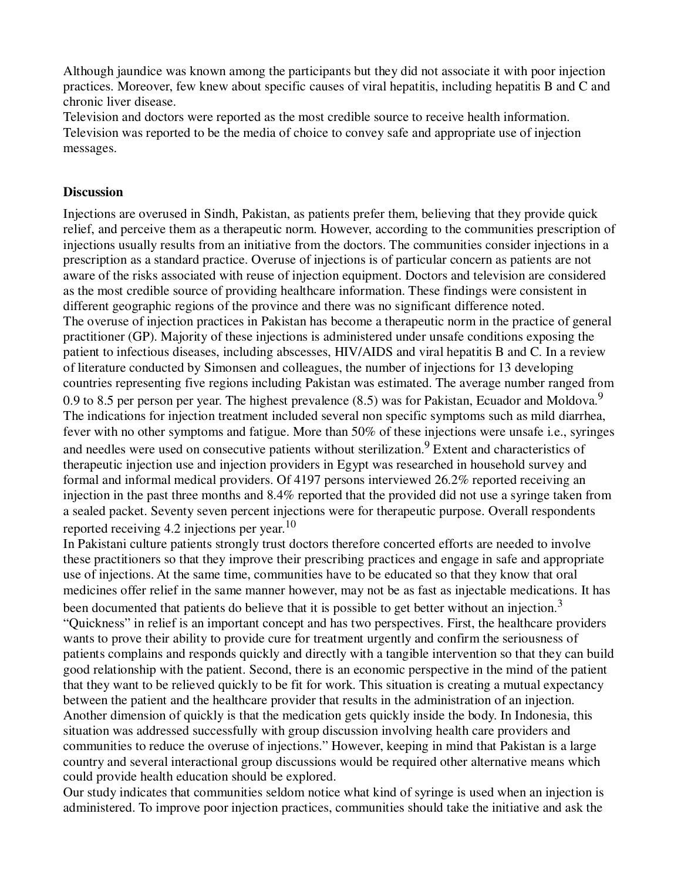Although jaundice was known among the participants but they did not associate it with poor injection practices. Moreover, few knew about specific causes of viral hepatitis, including hepatitis B and C and chronic liver disease.

Television and doctors were reported as the most credible source to receive health information. Television was reported to be the media of choice to convey safe and appropriate use of injection messages.

#### **Discussion**

Injections are overused in Sindh, Pakistan, as patients prefer them, believing that they provide quick relief, and perceive them as a therapeutic norm. However, according to the communities prescription of injections usually results from an initiative from the doctors. The communities consider injections in a prescription as a standard practice. Overuse of injections is of particular concern as patients are not aware of the risks associated with reuse of injection equipment. Doctors and television are considered as the most credible source of providing healthcare information. These findings were consistent in different geographic regions of the province and there was no significant difference noted. The overuse of injection practices in Pakistan has become a therapeutic norm in the practice of general practitioner (GP). Majority of these injections is administered under unsafe conditions exposing the patient to infectious diseases, including abscesses, HIV/AIDS and viral hepatitis B and C. In a review of literature conducted by Simonsen and colleagues, the number of injections for 13 developing countries representing five regions including Pakistan was estimated. The average number ranged from 0.9 to 8.5 per person per year. The highest prevalence  $(8.5)$  was for Pakistan, Ecuador and Moldova.<sup>9</sup> The indications for injection treatment included several non specific symptoms such as mild diarrhea, fever with no other symptoms and fatigue. More than 50% of these injections were unsafe i.e., syringes and needles were used on consecutive patients without sterilization.<sup>9</sup> Extent and characteristics of therapeutic injection use and injection providers in Egypt was researched in household survey and formal and informal medical providers. Of 4197 persons interviewed 26.2% reported receiving an injection in the past three months and 8.4% reported that the provided did not use a syringe taken from a sealed packet. Seventy seven percent injections were for therapeutic purpose. Overall respondents reported receiving 4.2 injections per year.<sup>10</sup>

In Pakistani culture patients strongly trust doctors therefore concerted efforts are needed to involve these practitioners so that they improve their prescribing practices and engage in safe and appropriate use of injections. At the same time, communities have to be educated so that they know that oral medicines offer relief in the same manner however, may not be as fast as injectable medications. It has been documented that patients do believe that it is possible to get better without an injection.<sup>3</sup> "Quickness" in relief is an important concept and has two perspectives. First, the healthcare providers wants to prove their ability to provide cure for treatment urgently and confirm the seriousness of patients complains and responds quickly and directly with a tangible intervention so that they can build good relationship with the patient. Second, there is an economic perspective in the mind of the patient that they want to be relieved quickly to be fit for work. This situation is creating a mutual expectancy between the patient and the healthcare provider that results in the administration of an injection. Another dimension of quickly is that the medication gets quickly inside the body. In Indonesia, this situation was addressed successfully with group discussion involving health care providers and communities to reduce the overuse of injections." However, keeping in mind that Pakistan is a large country and several interactional group discussions would be required other alternative means which could provide health education should be explored.

Our study indicates that communities seldom notice what kind of syringe is used when an injection is administered. To improve poor injection practices, communities should take the initiative and ask the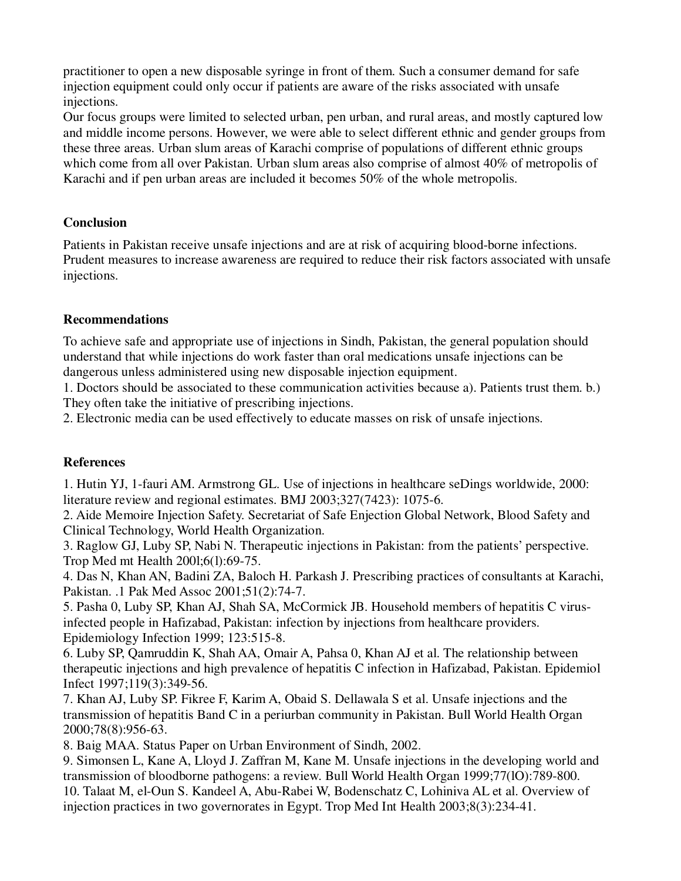practitioner to open a new disposable syringe in front of them. Such a consumer demand for safe injection equipment could only occur if patients are aware of the risks associated with unsafe injections.

Our focus groups were limited to selected urban, pen urban, and rural areas, and mostly captured low and middle income persons. However, we were able to select different ethnic and gender groups from these three areas. Urban slum areas of Karachi comprise of populations of different ethnic groups which come from all over Pakistan. Urban slum areas also comprise of almost 40% of metropolis of Karachi and if pen urban areas are included it becomes 50% of the whole metropolis.

#### **Conclusion**

Patients in Pakistan receive unsafe injections and are at risk of acquiring blood-borne infections. Prudent measures to increase awareness are required to reduce their risk factors associated with unsafe injections.

#### **Recommendations**

To achieve safe and appropriate use of injections in Sindh, Pakistan, the general population should understand that while injections do work faster than oral medications unsafe injections can be dangerous unless administered using new disposable injection equipment.

1. Doctors should be associated to these communication activities because a). Patients trust them. b.) They often take the initiative of prescribing injections.

2. Electronic media can be used effectively to educate masses on risk of unsafe injections.

## **References**

1. Hutin YJ, 1-fauri AM. Armstrong GL. Use of injections in healthcare seDings worldwide, 2000: literature review and regional estimates. BMJ 2003;327(7423): 1075-6.

2. Aide Memoire Injection Safety. Secretariat of Safe Enjection Global Network, Blood Safety and Clinical Technology, World Health Organization.

3. Raglow GJ, Luby SP, Nabi N. Therapeutic injections in Pakistan: from the patients' perspective. Trop Med mt Health 200l;6(l):69-75.

4. Das N, Khan AN, Badini ZA, Baloch H. Parkash J. Prescribing practices of consultants at Karachi, Pakistan. .1 Pak Med Assoc 2001;51(2):74-7.

5. Pasha 0, Luby SP, Khan AJ, Shah SA, McCormick JB. Household members of hepatitis C virusinfected people in Hafizabad, Pakistan: infection by injections from healthcare providers. Epidemiology Infection 1999; 123:515-8.

6. Luby SP, Qamruddin K, Shah AA, Omair A, Pahsa 0, Khan AJ et al. The relationship between therapeutic injections and high prevalence of hepatitis C infection in Hafizabad, Pakistan. Epidemiol Infect 1997;119(3):349-56.

7. Khan AJ, Luby SP. Fikree F, Karim A, Obaid S. Dellawala S et al. Unsafe injections and the transmission of hepatitis Band C in a periurban community in Pakistan. Bull World Health Organ 2000;78(8):956-63.

8. Baig MAA. Status Paper on Urban Environment of Sindh, 2002.

9. Simonsen L, Kane A, Lloyd J. Zaffran M, Kane M. Unsafe injections in the developing world and transmission of bloodborne pathogens: a review. Bull World Health Organ 1999;77(lO):789-800. 10. Talaat M, el-Oun S. Kandeel A, Abu-Rabei W, Bodenschatz C, Lohiniva AL et al. Overview of injection practices in two governorates in Egypt. Trop Med Int Health 2003;8(3):234-41.